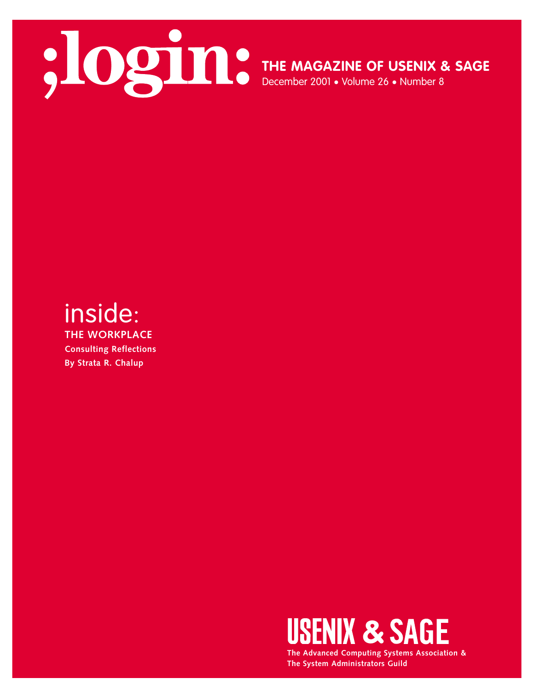

**THE MAGAZINE OF USENIX & SAGE**

December 2001 • Volume 26 • Number 8

## inside:

**THE WORKPLACE Consulting Reflections By Strata R. Chalup**



**The Advanced Computing Systems Association & The System Administrators Guild**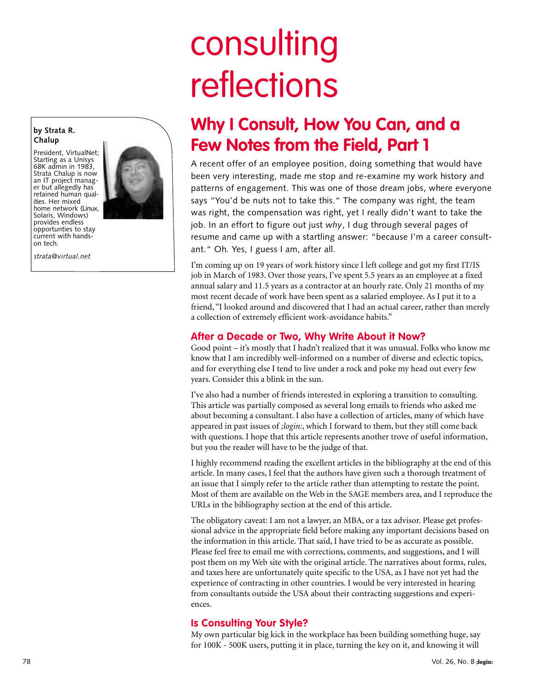# consulting reflections

### **Why I Consult, How You Can, and a Few Notes from the Field, Part 1**

A recent offer of an employee position, doing something that would have been very interesting, made me stop and re-examine my work history and patterns of engagement. This was one of those dream jobs, where everyone says "You'd be nuts not to take this." The company was right, the team was right, the compensation was right, yet I really didn't want to take the job. In an effort to figure out just *why*, I dug through several pages of resume and came up with a startling answer: "because I'm a career consultant." Oh. Yes, I guess I am, after all.

I'm coming up on 19 years of work history since I left college and got my first IT/IS job in March of 1983. Over those years, I've spent 5.5 years as an employee at a fixed annual salary and 11.5 years as a contractor at an hourly rate. Only 21 months of my most recent decade of work have been spent as a salaried employee. As I put it to a friend, "I looked around and discovered that I had an actual career, rather than merely a collection of extremely efficient work-avoidance habits."

#### **After a Decade or Two, Why Write About it Now?**

Good point – it's mostly that I hadn't realized that it was unusual. Folks who know me know that I am incredibly well-informed on a number of diverse and eclectic topics, and for everything else I tend to live under a rock and poke my head out every few years. Consider this a blink in the sun.

I've also had a number of friends interested in exploring a transition to consulting. This article was partially composed as several long emails to friends who asked me about becoming a consultant. I also have a collection of articles, many of which have appeared in past issues of *;login:*, which I forward to them, but they still come back with questions. I hope that this article represents another trove of useful information, but you the reader will have to be the judge of that.

I highly recommend reading the excellent articles in the bibliography at the end of this article. In many cases, I feel that the authors have given such a thorough treatment of an issue that I simply refer to the article rather than attempting to restate the point. Most of them are available on the Web in the SAGE members area, and I reproduce the URLs in the bibliography section at the end of this article.

The obligatory caveat: I am not a lawyer, an MBA, or a tax advisor. Please get professional advice in the appropriate field before making any important decisions based on the information in this article. That said, I have tried to be as accurate as possible. Please feel free to email me with corrections, comments, and suggestions, and I will post them on my Web site with the original article. The narratives about forms, rules, and taxes here are unfortunately quite specific to the USA, as I have not yet had the experience of contracting in other countries. I would be very interested in hearing from consultants outside the USA about their contracting suggestions and experiences.

#### **Is Consulting Your Style?**

My own particular big kick in the workplace has been building something huge, say for 100K - 500K users, putting it in place, turning the key on it, and knowing it will

President, VirtualNet; Starting as a Unisys 68K admin in 1983, Strata Chalup is now an IT project manager but allegedly has retained human qualities. Her mixed home network (Linux, Solaris, Windows) provides endless opportunties to stay current with handson tech.

*strata@virtual.net*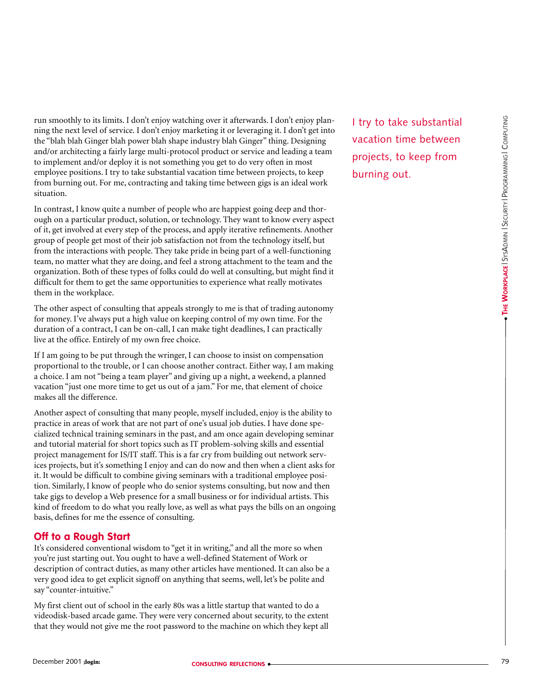run smoothly to its limits. I don't enjoy watching over it afterwards. I don't enjoy planning the next level of service. I don't enjoy marketing it or leveraging it. I don't get into the "blah blah Ginger blah power blah shape industry blah Ginger" thing. Designing and/or architecting a fairly large multi-protocol product or service and leading a team to implement and/or deploy it is not something you get to do very often in most employee positions. I try to take substantial vacation time between projects, to keep from burning out. For me, contracting and taking time between gigs is an ideal work situation.

In contrast, I know quite a number of people who are happiest going deep and thorough on a particular product, solution, or technology. They want to know every aspect of it, get involved at every step of the process, and apply iterative refinements. Another group of people get most of their job satisfaction not from the technology itself, but from the interactions with people. They take pride in being part of a well-functioning team, no matter what they are doing, and feel a strong attachment to the team and the organization. Both of these types of folks could do well at consulting, but might find it difficult for them to get the same opportunities to experience what really motivates them in the workplace.

The other aspect of consulting that appeals strongly to me is that of trading autonomy for money. I've always put a high value on keeping control of my own time. For the duration of a contract, I can be on-call, I can make tight deadlines, I can practically live at the office. Entirely of my own free choice.

If I am going to be put through the wringer, I can choose to insist on compensation proportional to the trouble, or I can choose another contract. Either way, I am making a choice. I am not "being a team player" and giving up a night, a weekend, a planned vacation "just one more time to get us out of a jam." For me, that element of choice makes all the difference.

Another aspect of consulting that many people, myself included, enjoy is the ability to practice in areas of work that are not part of one's usual job duties. I have done specialized technical training seminars in the past, and am once again developing seminar and tutorial material for short topics such as IT problem-solving skills and essential project management for IS/IT staff. This is a far cry from building out network services projects, but it's something I enjoy and can do now and then when a client asks for it. It would be difficult to combine giving seminars with a traditional employee position. Similarly, I know of people who do senior systems consulting, but now and then take gigs to develop a Web presence for a small business or for individual artists. This kind of freedom to do what you really love, as well as what pays the bills on an ongoing basis, defines for me the essence of consulting.

#### **Off to a Rough Start**

It's considered conventional wisdom to "get it in writing," and all the more so when you're just starting out. You ought to have a well-defined Statement of Work or description of contract duties, as many other articles have mentioned. It can also be a very good idea to get explicit signoff on anything that seems, well, let's be polite and say "counter-intuitive."

My first client out of school in the early 80s was a little startup that wanted to do a videodisk-based arcade game. They were very concerned about security, to the extent that they would not give me the root password to the machine on which they kept all

I try to take substantial vacation time between projects, to keep from burning out.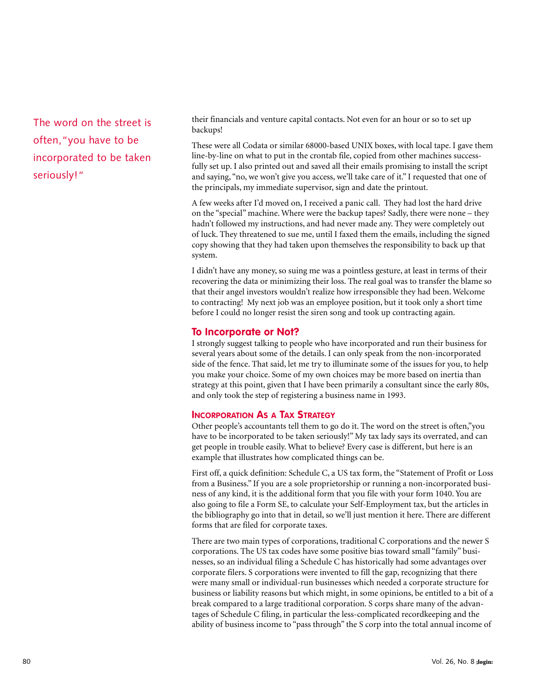The word on the street is often,"you have to be incorporated to be taken seriously!"

their financials and venture capital contacts. Not even for an hour or so to set up backups!

These were all Codata or similar 68000-based UNIX boxes, with local tape. I gave them line-by-line on what to put in the crontab file, copied from other machines successfully set up. I also printed out and saved all their emails promising to install the script and saying, "no, we won't give you access, we'll take care of it." I requested that one of the principals, my immediate supervisor, sign and date the printout.

A few weeks after I'd moved on, I received a panic call. They had lost the hard drive on the "special" machine. Where were the backup tapes? Sadly, there were none – they hadn't followed my instructions, and had never made any. They were completely out of luck. They threatened to sue me, until I faxed them the emails, including the signed copy showing that they had taken upon themselves the responsibility to back up that system.

I didn't have any money, so suing me was a pointless gesture, at least in terms of their recovering the data or minimizing their loss. The real goal was to transfer the blame so that their angel investors wouldn't realize how irresponsible they had been. Welcome to contracting! My next job was an employee position, but it took only a short time before I could no longer resist the siren song and took up contracting again.

#### **To Incorporate or Not?**

I strongly suggest talking to people who have incorporated and run their business for several years about some of the details. I can only speak from the non-incorporated side of the fence. That said, let me try to illuminate some of the issues for you, to help you make your choice. Some of my own choices may be more based on inertia than strategy at this point, given that I have been primarily a consultant since the early 80s, and only took the step of registering a business name in 1993.

#### **INCORPORATION AS A TAX STRATEGY**

Other people's accountants tell them to go do it. The word on the street is often,"you have to be incorporated to be taken seriously!" My tax lady says its overrated, and can get people in trouble easily. What to believe? Every case is different, but here is an example that illustrates how complicated things can be.

First off, a quick definition: Schedule C, a US tax form, the "Statement of Profit or Loss from a Business." If you are a sole proprietorship or running a non-incorporated business of any kind, it is the additional form that you file with your form 1040. You are also going to file a Form SE, to calculate your Self-Employment tax, but the articles in the bibliography go into that in detail, so we'll just mention it here. There are different forms that are filed for corporate taxes.

There are two main types of corporations, traditional C corporations and the newer S corporations. The US tax codes have some positive bias toward small "family" businesses, so an individual filing a Schedule C has historically had some advantages over corporate filers. S corporations were invented to fill the gap, recognizing that there were many small or individual-run businesses which needed a corporate structure for business or liability reasons but which might, in some opinions, be entitled to a bit of a break compared to a large traditional corporation. S corps share many of the advantages of Schedule C filing, in particular the less-complicated recordkeeping and the ability of business income to "pass through" the S corp into the total annual income of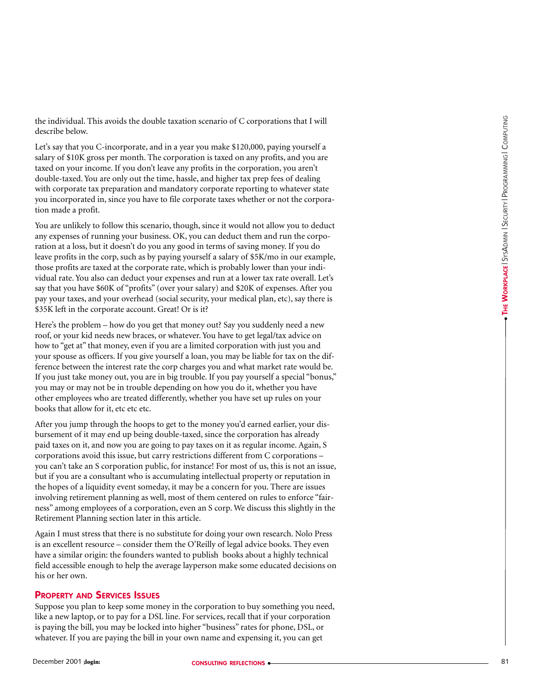the individual. This avoids the double taxation scenario of C corporations that I will describe below.

Let's say that you C-incorporate, and in a year you make \$120,000, paying yourself a salary of \$10K gross per month. The corporation is taxed on any profits, and you are taxed on your income. If you don't leave any profits in the corporation, you aren't double-taxed. You are only out the time, hassle, and higher tax prep fees of dealing with corporate tax preparation and mandatory corporate reporting to whatever state you incorporated in, since you have to file corporate taxes whether or not the corporation made a profit.

You are unlikely to follow this scenario, though, since it would not allow you to deduct any expenses of running your business. OK, you can deduct them and run the corporation at a loss, but it doesn't do you any good in terms of saving money. If you do leave profits in the corp, such as by paying yourself a salary of \$5K/mo in our example, those profits are taxed at the corporate rate, which is probably lower than your individual rate. You also can deduct your expenses and run at a lower tax rate overall. Let's say that you have \$60K of "profits" (over your salary) and \$20K of expenses. After you pay your taxes, and your overhead (social security, your medical plan, etc), say there is \$35K left in the corporate account. Great! Or is it?

Here's the problem – how do you get that money out? Say you suddenly need a new roof, or your kid needs new braces, or whatever. You have to get legal/tax advice on how to "get at" that money, even if you are a limited corporation with just you and your spouse as officers. If you give yourself a loan, you may be liable for tax on the difference between the interest rate the corp charges you and what market rate would be. If you just take money out, you are in big trouble. If you pay yourself a special "bonus," you may or may not be in trouble depending on how you do it, whether you have other employees who are treated differently, whether you have set up rules on your books that allow for it, etc etc etc.

After you jump through the hoops to get to the money you'd earned earlier, your disbursement of it may end up being double-taxed, since the corporation has already paid taxes on it, and now you are going to pay taxes on it as regular income. Again, S corporations avoid this issue, but carry restrictions different from C corporations – you can't take an S corporation public, for instance! For most of us, this is not an issue, but if you are a consultant who is accumulating intellectual property or reputation in the hopes of a liquidity event someday, it may be a concern for you. There are issues involving retirement planning as well, most of them centered on rules to enforce "fairness" among employees of a corporation, even an S corp. We discuss this slightly in the Retirement Planning section later in this article.

Again I must stress that there is no substitute for doing your own research. Nolo Press is an excellent resource – consider them the O'Reilly of legal advice books. They even have a similar origin: the founders wanted to publish books about a highly technical field accessible enough to help the average layperson make some educated decisions on his or her own.

#### **PROPERTY AND SERVICES ISSUES**

Suppose you plan to keep some money in the corporation to buy something you need, like a new laptop, or to pay for a DSL line. For services, recall that if your corporation is paying the bill, you may be locked into higher "business" rates for phone, DSL, or whatever. If you are paying the bill in your own name and expensing it, you can get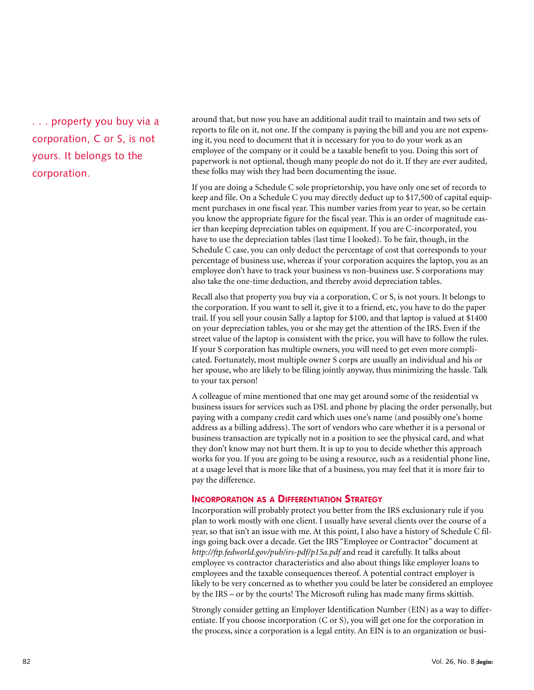. . . property you buy via a corporation, C or S, is not yours. It belongs to the corporation.

around that, but now you have an additional audit trail to maintain and two sets of reports to file on it, not one. If the company is paying the bill and you are not expensing it, you need to document that it is necessary for you to do your work as an employee of the company or it could be a taxable benefit to you. Doing this sort of paperwork is not optional, though many people do not do it. If they are ever audited, these folks may wish they had been documenting the issue.

If you are doing a Schedule C sole proprietorship, you have only one set of records to keep and file. On a Schedule C you may directly deduct up to \$17,500 of capital equipment purchases in one fiscal year. This number varies from year to year, so be certain you know the appropriate figure for the fiscal year. This is an order of magnitude easier than keeping depreciation tables on equipment. If you are C-incorporated, you have to use the depreciation tables (last time I looked). To be fair, though, in the Schedule C case, you can only deduct the percentage of cost that corresponds to your percentage of business use, whereas if your corporation acquires the laptop, you as an employee don't have to track your business vs non-business use. S corporations may also take the one-time deduction, and thereby avoid depreciation tables.

Recall also that property you buy via a corporation, C or S, is not yours. It belongs to the corporation. If you want to sell it, give it to a friend, etc, you have to do the paper trail. If you sell your cousin Sally a laptop for \$100, and that laptop is valued at \$1400 on your depreciation tables, you or she may get the attention of the IRS. Even if the street value of the laptop is consistent with the price, you will have to follow the rules. If your S corporation has multiple owners, you will need to get even more complicated. Fortunately, most multiple owner S corps are usually an individual and his or her spouse, who are likely to be filing jointly anyway, thus minimizing the hassle. Talk to your tax person!

A colleague of mine mentioned that one may get around some of the residential vs business issues for services such as DSL and phone by placing the order personally, but paying with a company credit card which uses one's name (and possibly one's home address as a billing address). The sort of vendors who care whether it is a personal or business transaction are typically not in a position to see the physical card, and what they don't know may not hurt them. It is up to you to decide whether this approach works for you. If you are going to be using a resource, such as a residential phone line, at a usage level that is more like that of a business, you may feel that it is more fair to pay the difference.

#### **INCORPORATION AS A DIFFERENTIATION STRATEGY**

Incorporation will probably protect you better from the IRS exclusionary rule if you plan to work mostly with one client. I usually have several clients over the course of a year, so that isn't an issue with me. At this point, I also have a history of Schedule C filings going back over a decade. Get the IRS "Employee or Contractor" document at *<http://ftp.fedworld.gov/pub/irs-pdf/p15a.pdf>* and read it carefully. It talks about employee vs contractor characteristics and also about things like employer loans to employees and the taxable consequences thereof. A potential contract employer is likely to be very concerned as to whether you could be later be considered an employee by the IRS – or by the courts! The Microsoft ruling has made many firms skittish.

Strongly consider getting an Employer Identification Number (EIN) as a way to differentiate. If you choose incorporation (C or S), you will get one for the corporation in the process, since a corporation is a legal entity. An EIN is to an organization or busi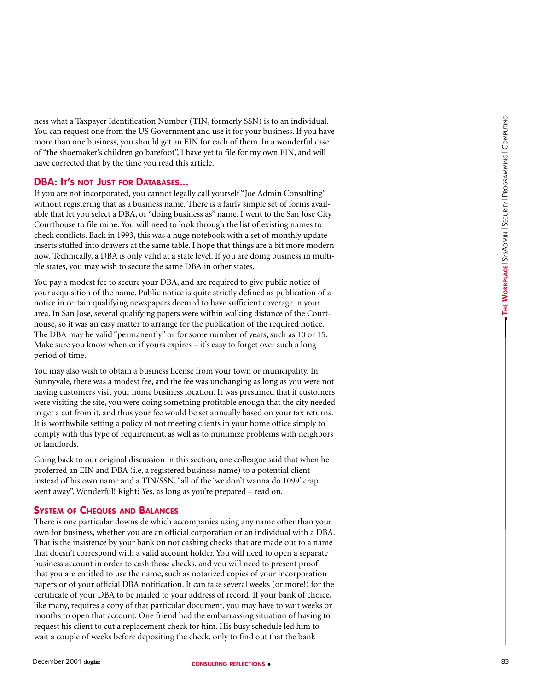ness what a Taxpayer Identification Number (TIN, formerly SSN) is to an individual. You can request one from the US Government and use it for your business. If you have more than one business, you should get an EIN for each of them. In a wonderful case of "the shoemaker's children go barefoot", I have yet to file for my own EIN, and will have corrected that by the time you read this article.

#### **DBA: I T 'S NOT JUST FOR DATABASES...**

If you are not incorporated, you cannot legally call yourself "Joe Admin Consulting" without registering that as a business name. There is a fairly simple set of forms available that let you select a DBA, or "doing business as" name. I went to the San Jose City Courthouse to file mine. You will need to look through the list of existing names to check conflicts. Back in 1993, this was a huge notebook with a set of monthly update inserts stuffed into drawers at the same table. I hope that things are a bit more modern now. Technically, a DBA is only valid at a state level. If you are doing business in multiple states, you may wish to secure the same DBA in other states.

You pay a modest fee to secure your DBA, and are required to give public notice of your acquisition of the name. Public notice is quite strictly defined as publication of a notice in certain qualifying newspapers deemed to have sufficient coverage in your area. In San Jose, several qualifying papers were within walking distance of the Courthouse, so it was an easy matter to arrange for the publication of the required notice. The DBA may be valid "permanently" or for some number of years, such as 10 or 15. Make sure you know when or if yours expires – it's easy to forget over such a long period of time.

You may also wish to obtain a business license from your town or municipality. In Sunnyvale, there was a modest fee, and the fee was unchanging as long as you were not having customers visit your home business location. It was presumed that if customers were visiting the site, you were doing something profitable enough that the city needed to get a cut from it, and thus your fee would be set annually based on your tax returns. It is worthwhile setting a policy of not meeting clients in your home office simply to comply with this type of requirement, as well as to minimize problems with neighbors or landlords.

Going back to our original discussion in this section, one colleague said that when he proferred an EIN and DBA (i.e, a registered business name) to a potential client instead of his own name and a TIN/SSN, "all of the 'we don't wanna do 1099' crap went away". Wonderful! Right? Yes, as long as you're prepared – read on.

#### **SYSTEM OF CHEQUES AND BALANCES**

There is one particular downside which accompanies using any name other than your own for business, whether you are an official corporation or an individual with a DBA. That is the insistence by your bank on not cashing checks that are made out to a name that doesn't correspond with a valid account holder. You will need to open a separate business account in order to cash those checks, and you will need to present proof that you are entitled to use the name, such as notarized copies of your incorporation papers or of your official DBA notification. It can take several weeks (or more!) for the certificate of your DBA to be mailed to your address of record. If your bank of choice, like many, requires a copy of that particular document, you may have to wait weeks or months to open that account. One friend had the embarrassing situation of having to request his client to cut a replacement check for him. His busy schedule led him to wait a couple of weeks before depositing the check, only to find out that the bank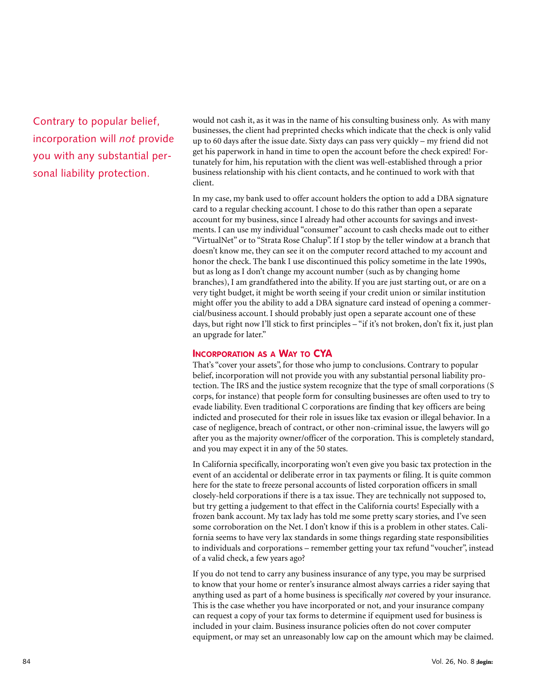Contrary to popular belief, incorporation will *not* provide you with any substantial personal liability protection.

would not cash it, as it was in the name of his consulting business only. As with many businesses, the client had preprinted checks which indicate that the check is only valid up to 60 days after the issue date. Sixty days can pass very quickly – my friend did not get his paperwork in hand in time to open the account before the check expired! Fortunately for him, his reputation with the client was well-established through a prior business relationship with his client contacts, and he continued to work with that client.

In my case, my bank used to offer account holders the option to add a DBA signature card to a regular checking account. I chose to do this rather than open a separate account for my business, since I already had other accounts for savings and investments. I can use my individual "consumer" account to cash checks made out to either "VirtualNet" or to "Strata Rose Chalup". If I stop by the teller window at a branch that doesn't know me, they can see it on the computer record attached to my account and honor the check. The bank I use discontinued this policy sometime in the late 1990s, but as long as I don't change my account number (such as by changing home branches), I am grandfathered into the ability. If you are just starting out, or are on a very tight budget, it might be worth seeing if your credit union or similar institution might offer you the ability to add a DBA signature card instead of opening a commercial/business account. I should probably just open a separate account one of these days, but right now I'll stick to first principles – "if it's not broken, don't fix it, just plan an upgrade for later."

#### **INCORPORATION AS A WAY TO CYA**

That's "cover your assets", for those who jump to conclusions. Contrary to popular belief, incorporation will not provide you with any substantial personal liability protection. The IRS and the justice system recognize that the type of small corporations (S corps, for instance) that people form for consulting businesses are often used to try to evade liability. Even traditional C corporations are finding that key officers are being indicted and prosecuted for their role in issues like tax evasion or illegal behavior. In a case of negligence, breach of contract, or other non-criminal issue, the lawyers will go after you as the majority owner/officer of the corporation. This is completely standard, and you may expect it in any of the 50 states.

In California specifically, incorporating won't even give you basic tax protection in the event of an accidental or deliberate error in tax payments or filing. It is quite common here for the state to freeze personal accounts of listed corporation officers in small closely-held corporations if there is a tax issue. They are technically not supposed to, but try getting a judgement to that effect in the California courts! Especially with a frozen bank account. My tax lady has told me some pretty scary stories, and I've seen some corroboration on the Net. I don't know if this is a problem in other states. California seems to have very lax standards in some things regarding state responsibilities to individuals and corporations – remember getting your tax refund "voucher", instead of a valid check, a few years ago?

If you do not tend to carry any business insurance of any type, you may be surprised to know that your home or renter's insurance almost always carries a rider saying that anything used as part of a home business is specifically *not* covered by your insurance. This is the case whether you have incorporated or not, and your insurance company can request a copy of your tax forms to determine if equipment used for business is included in your claim. Business insurance policies often do not cover computer equipment, or may set an unreasonably low cap on the amount which may be claimed.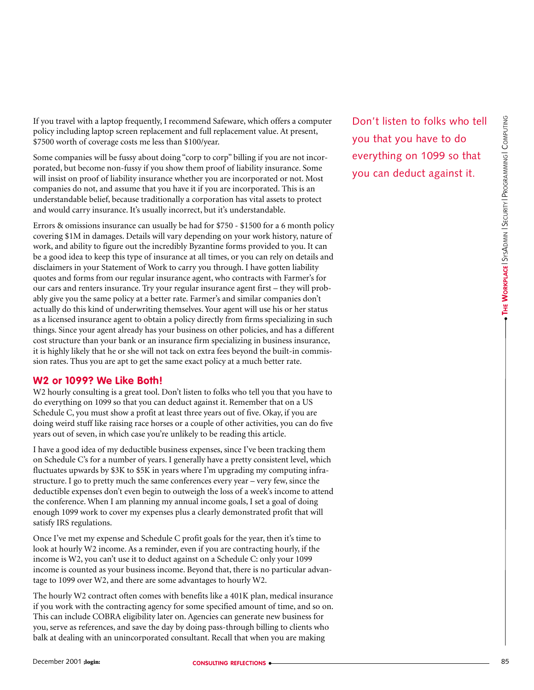If you travel with a laptop frequently, I recommend Safeware, which offers a computer policy including laptop screen replacement and full replacement value. At present, \$7500 worth of coverage costs me less than \$100/year.

Some companies will be fussy about doing "corp to corp" billing if you are not incorporated, but become non-fussy if you show them proof of liability insurance. Some will insist on proof of liability insurance whether you are incorporated or not. Most companies do not, and assume that you have it if you are incorporated. This is an understandable belief, because traditionally a corporation has vital assets to protect and would carry insurance. It's usually incorrect, but it's understandable.

Errors & omissions insurance can usually be had for \$750 - \$1500 for a 6 month policy covering \$1M in damages. Details will vary depending on your work history, nature of work, and ability to figure out the incredibly Byzantine forms provided to you. It can be a good idea to keep this type of insurance at all times, or you can rely on details and disclaimers in your Statement of Work to carry you through. I have gotten liability quotes and forms from our regular insurance agent, who contracts with Farmer's for our cars and renters insurance. Try your regular insurance agent first – they will probably give you the same policy at a better rate. Farmer's and similar companies don't actually do this kind of underwriting themselves. Your agent will use his or her status as a licensed insurance agent to obtain a policy directly from firms specializing in such things. Since your agent already has your business on other policies, and has a different cost structure than your bank or an insurance firm specializing in business insurance, it is highly likely that he or she will not tack on extra fees beyond the built-in commission rates. Thus you are apt to get the same exact policy at a much better rate.

#### **W2 or 1099? We Like Both!**

W2 hourly consulting is a great tool. Don't listen to folks who tell you that you have to do everything on 1099 so that you can deduct against it. Remember that on a US Schedule C, you must show a profit at least three years out of five. Okay, if you are doing weird stuff like raising race horses or a couple of other activities, you can do five years out of seven, in which case you're unlikely to be reading this article.

I have a good idea of my deductible business expenses, since I've been tracking them on Schedule C's for a number of years. I generally have a pretty consistent level, which fluctuates upwards by \$3K to \$5K in years where I'm upgrading my computing infrastructure. I go to pretty much the same conferences every year – very few, since the deductible expenses don't even begin to outweigh the loss of a week's income to attend the conference. When I am planning my annual income goals, I set a goal of doing enough 1099 work to cover my expenses plus a clearly demonstrated profit that will satisfy IRS regulations.

Once I've met my expense and Schedule C profit goals for the year, then it's time to look at hourly W2 income. As a reminder, even if you are contracting hourly, if the income is W2, you can't use it to deduct against on a Schedule C: only your 1099 income is counted as your business income. Beyond that, there is no particular advantage to 1099 over W2, and there are some advantages to hourly W2.

The hourly W2 contract often comes with benefits like a 401K plan, medical insurance if you work with the contracting agency for some specified amount of time, and so on. This can include COBRA eligibility later on. Agencies can generate new business for you, serve as references, and save the day by doing pass-through billing to clients who balk at dealing with an unincorporated consultant. Recall that when you are making

Don't listen to folks who tell you that you have to do everything on 1099 so that you can deduct against it.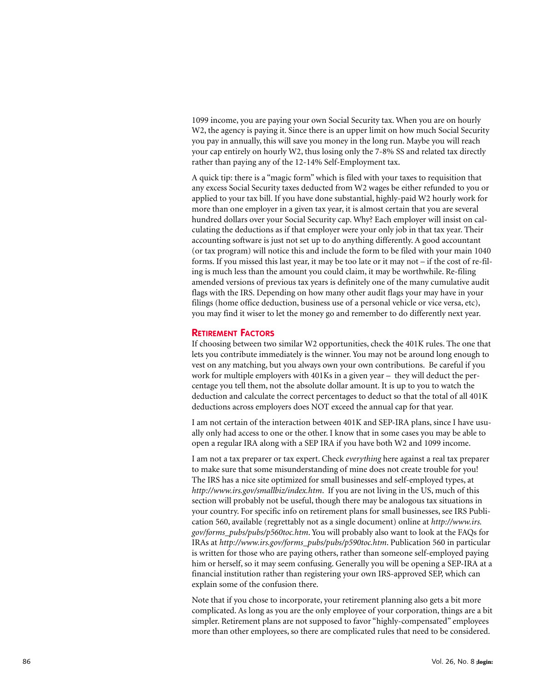1099 income, you are paying your own Social Security tax. When you are on hourly W2, the agency is paying it. Since there is an upper limit on how much Social Security you pay in annually, this will save you money in the long run. Maybe you will reach your cap entirely on hourly W2, thus losing only the 7-8% SS and related tax directly rather than paying any of the 12-14% Self-Employment tax.

A quick tip: there is a "magic form" which is filed with your taxes to requisition that any excess Social Security taxes deducted from W2 wages be either refunded to you or applied to your tax bill. If you have done substantial, highly-paid W2 hourly work for more than one employer in a given tax year, it is almost certain that you are several hundred dollars over your Social Security cap. Why? Each employer will insist on calculating the deductions as if that employer were your only job in that tax year. Their accounting software is just not set up to do anything differently. A good accountant (or tax program) will notice this and include the form to be filed with your main 1040 forms. If you missed this last year, it may be too late or it may not – if the cost of re-filing is much less than the amount you could claim, it may be worthwhile. Re-filing amended versions of previous tax years is definitely one of the many cumulative audit flags with the IRS. Depending on how many other audit flags your may have in your filings (home office deduction, business use of a personal vehicle or vice versa, etc), you may find it wiser to let the money go and remember to do differently next year.

#### **RETIREMENT FACTORS**

If choosing between two similar W2 opportunities, check the 401K rules. The one that lets you contribute immediately is the winner. You may not be around long enough to vest on any matching, but you always own your own contributions. Be careful if you work for multiple employers with 401Ks in a given year – they will deduct the percentage you tell them, not the absolute dollar amount. It is up to you to watch the deduction and calculate the correct percentages to deduct so that the total of all 401K deductions across employers does NOT exceed the annual cap for that year.

I am not certain of the interaction between 401K and SEP-IRA plans, since I have usually only had access to one or the other. I know that in some cases you may be able to open a regular IRA along with a SEP IRA if you have both W2 and 1099 income.

I am not a tax preparer or tax expert. Check *everything* here against a real tax preparer to make sure that some misunderstanding of mine does not create trouble for you! The IRS has a nice site optimized for small businesses and self-employed types, at *<http://www.irs.gov/smallbiz/index.htm>*. If you are not living in the US, much of this section will probably not be useful, though there may be analogous tax situations in your country. For specific info on retirement plans for small businesses, see IRS Publication 560, available (regrettably not as a single document) online at *[http://www.irs.](http://www.irs) gov/forms\_pubs/pubs/p560toc.htm*. You will probably also want to look at the FAQs for IRAs at *[http://www.irs.gov/forms\\_pubs/pubs/p590toc.htm](http://www.irs.gov/forms_pubs/pubs/p590toc.htm)*. Publication 560 in particular is written for those who are paying others, rather than someone self-employed paying him or herself, so it may seem confusing. Generally you will be opening a SEP-IRA at a financial institution rather than registering your own IRS-approved SEP, which can explain some of the confusion there.

Note that if you chose to incorporate, your retirement planning also gets a bit more complicated. As long as you are the only employee of your corporation, things are a bit simpler. Retirement plans are not supposed to favor "highly-compensated" employees more than other employees, so there are complicated rules that need to be considered.